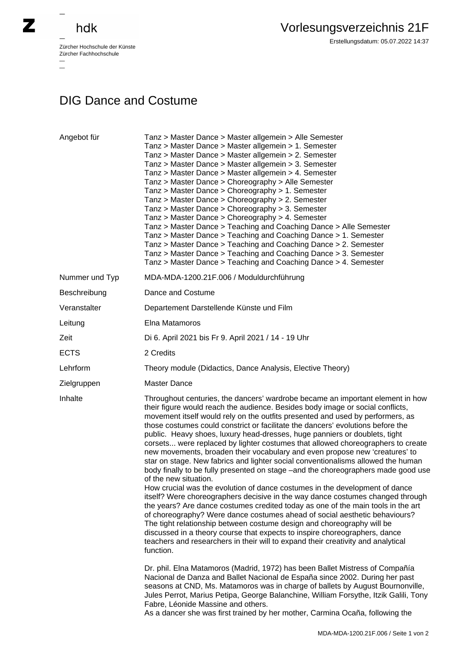## hdk

—

 $\overline{\phantom{a}}$ 

Zürcher Hochschule der Künste Zürcher Fachhochschule —

## DIG Dance and Costume

| Angebot für    | Tanz > Master Dance > Master allgemein > Alle Semester<br>Tanz > Master Dance > Master allgemein > 1. Semester<br>Tanz > Master Dance > Master allgemein > 2. Semester<br>Tanz > Master Dance > Master allgemein > 3. Semester<br>Tanz > Master Dance > Master allgemein > 4. Semester<br>Tanz > Master Dance > Choreography > Alle Semester<br>Tanz > Master Dance > Choreography > 1. Semester<br>Tanz > Master Dance > Choreography > 2. Semester<br>Tanz > Master Dance > Choreography > 3. Semester<br>Tanz > Master Dance > Choreography > 4. Semester<br>Tanz > Master Dance > Teaching and Coaching Dance > Alle Semester<br>Tanz > Master Dance > Teaching and Coaching Dance > 1. Semester<br>Tanz > Master Dance > Teaching and Coaching Dance > 2. Semester<br>Tanz > Master Dance > Teaching and Coaching Dance > 3. Semester<br>Tanz > Master Dance > Teaching and Coaching Dance > 4. Semester                                                                                                                                                                                                                                                                                                                                                                                                                                                                                                                                                                                                                                      |
|----------------|----------------------------------------------------------------------------------------------------------------------------------------------------------------------------------------------------------------------------------------------------------------------------------------------------------------------------------------------------------------------------------------------------------------------------------------------------------------------------------------------------------------------------------------------------------------------------------------------------------------------------------------------------------------------------------------------------------------------------------------------------------------------------------------------------------------------------------------------------------------------------------------------------------------------------------------------------------------------------------------------------------------------------------------------------------------------------------------------------------------------------------------------------------------------------------------------------------------------------------------------------------------------------------------------------------------------------------------------------------------------------------------------------------------------------------------------------------------------------------------------------------------------------------------------------|
| Nummer und Typ | MDA-MDA-1200.21F.006 / Moduldurchführung                                                                                                                                                                                                                                                                                                                                                                                                                                                                                                                                                                                                                                                                                                                                                                                                                                                                                                                                                                                                                                                                                                                                                                                                                                                                                                                                                                                                                                                                                                           |
| Beschreibung   | Dance and Costume                                                                                                                                                                                                                                                                                                                                                                                                                                                                                                                                                                                                                                                                                                                                                                                                                                                                                                                                                                                                                                                                                                                                                                                                                                                                                                                                                                                                                                                                                                                                  |
| Veranstalter   | Departement Darstellende Künste und Film                                                                                                                                                                                                                                                                                                                                                                                                                                                                                                                                                                                                                                                                                                                                                                                                                                                                                                                                                                                                                                                                                                                                                                                                                                                                                                                                                                                                                                                                                                           |
| Leitung        | Elna Matamoros                                                                                                                                                                                                                                                                                                                                                                                                                                                                                                                                                                                                                                                                                                                                                                                                                                                                                                                                                                                                                                                                                                                                                                                                                                                                                                                                                                                                                                                                                                                                     |
| Zeit           | Di 6. April 2021 bis Fr 9. April 2021 / 14 - 19 Uhr                                                                                                                                                                                                                                                                                                                                                                                                                                                                                                                                                                                                                                                                                                                                                                                                                                                                                                                                                                                                                                                                                                                                                                                                                                                                                                                                                                                                                                                                                                |
| <b>ECTS</b>    | 2 Credits                                                                                                                                                                                                                                                                                                                                                                                                                                                                                                                                                                                                                                                                                                                                                                                                                                                                                                                                                                                                                                                                                                                                                                                                                                                                                                                                                                                                                                                                                                                                          |
| Lehrform       | Theory module (Didactics, Dance Analysis, Elective Theory)                                                                                                                                                                                                                                                                                                                                                                                                                                                                                                                                                                                                                                                                                                                                                                                                                                                                                                                                                                                                                                                                                                                                                                                                                                                                                                                                                                                                                                                                                         |
| Zielgruppen    | <b>Master Dance</b>                                                                                                                                                                                                                                                                                                                                                                                                                                                                                                                                                                                                                                                                                                                                                                                                                                                                                                                                                                                                                                                                                                                                                                                                                                                                                                                                                                                                                                                                                                                                |
| Inhalte        | Throughout centuries, the dancers' wardrobe became an important element in how<br>their figure would reach the audience. Besides body image or social conflicts,<br>movement itself would rely on the outfits presented and used by performers, as<br>those costumes could constrict or facilitate the dancers' evolutions before the<br>public. Heavy shoes, luxury head-dresses, huge panniers or doublets, tight<br>corsets were replaced by lighter costumes that allowed choreographers to create<br>new movements, broaden their vocabulary and even propose new 'creatures' to<br>star on stage. New fabrics and lighter social conventionalisms allowed the human<br>body finally to be fully presented on stage -and the choreographers made good use<br>of the new situation.<br>How crucial was the evolution of dance costumes in the development of dance<br>itself? Were choreographers decisive in the way dance costumes changed through<br>the years? Are dance costumes credited today as one of the main tools in the art<br>of choreography? Were dance costumes ahead of social aesthetic behaviours?<br>The tight relationship between costume design and choreography will be<br>discussed in a theory course that expects to inspire choreographers, dance<br>teachers and researchers in their will to expand their creativity and analytical<br>function.<br>Dr. phil. Elna Matamoros (Madrid, 1972) has been Ballet Mistress of Compañía<br>Nacional de Danza and Ballet Nacional de España since 2002. During her past |
|                | seasons at CND, Ms. Matamoros was in charge of ballets by August Bournonville,<br>Jules Perrot, Marius Petipa, George Balanchine, William Forsythe, Itzik Galili, Tony<br>Fabre, Léonide Massine and others.<br>As a dancer she was first trained by her mother, Carmina Ocaña, following the                                                                                                                                                                                                                                                                                                                                                                                                                                                                                                                                                                                                                                                                                                                                                                                                                                                                                                                                                                                                                                                                                                                                                                                                                                                      |